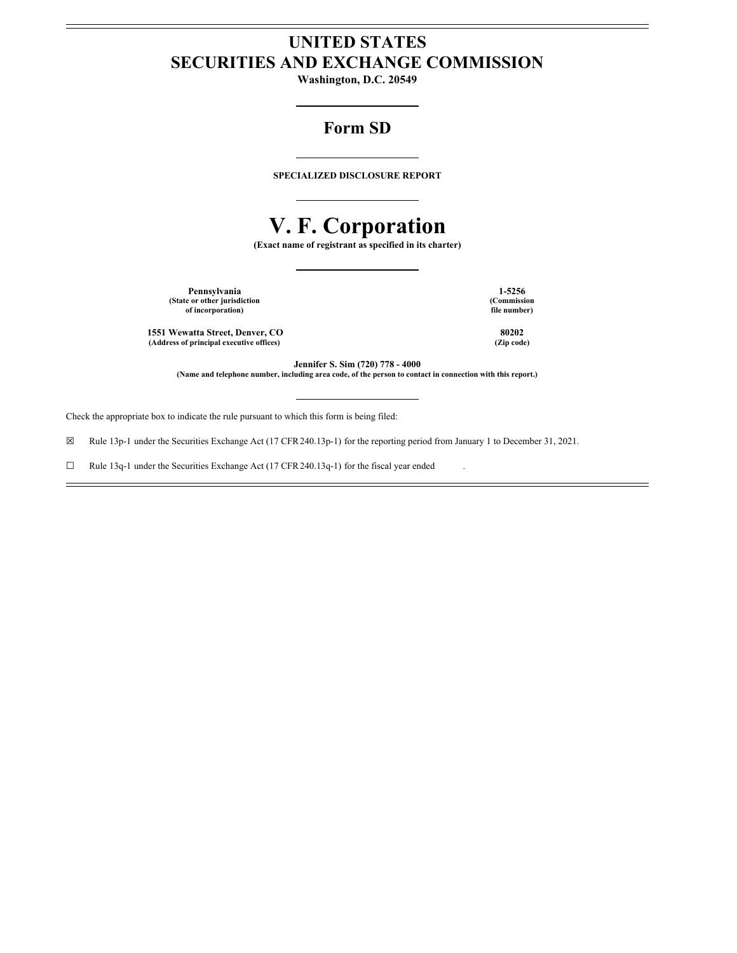# **UNITED STATES SECURITIES AND EXCHANGE COMMISSION**

**Washington, D.C. 20549**

# **Form SD**

**SPECIALIZED DISCLOSURE REPORT**

# **V. F. Corporation**

**(Exact name of registrant as specified in its charter)**

**Pennsylvania 1-5256 (State or other jurisdiction of incorporation)**

**1551 Wewatta Street, Denver, CO 80202 (Address of principal executive offices) (Zip code)**

**(Commission file number)**

**Jennifer S. Sim (720) 778 - 4000**

(Name and telephone number, including area code, of the person to contact in connection with this report.)

Check the appropriate box to indicate the rule pursuant to which this form is being filed:

☒ Rule 13p-1 under the Securities Exchange Act (17 CFR240.13p-1) for the reporting period from January 1 to December 31, 2021.

☐ Rule 13q-1 under the Securities Exchange Act (17 CFR240.13q-1) for the fiscal year ended .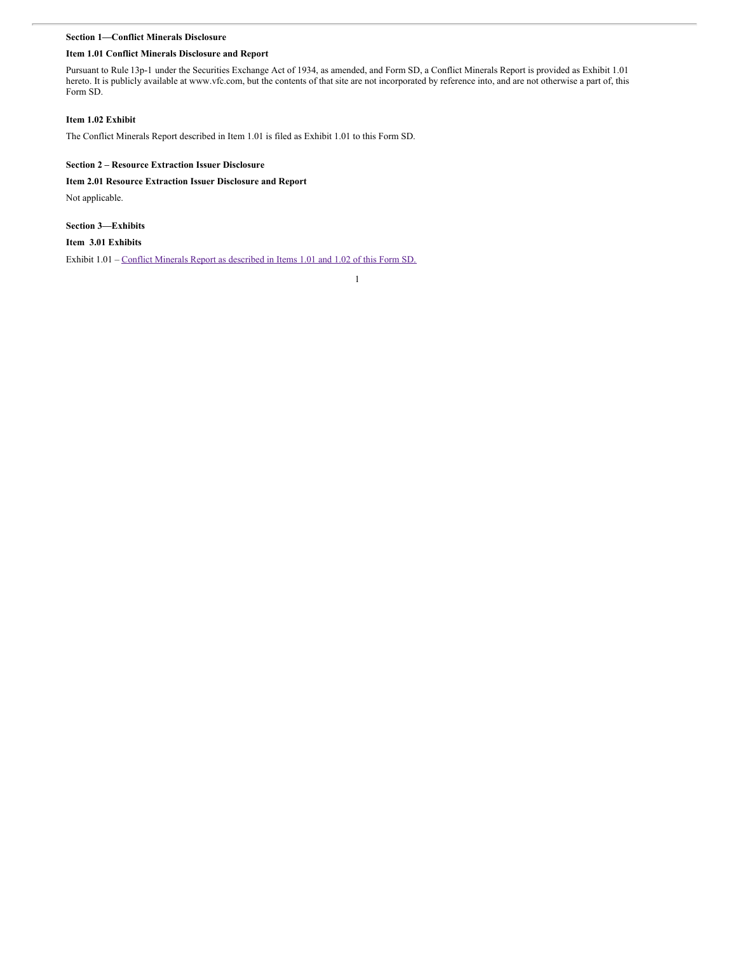# **Section 1—Conflict Minerals Disclosure**

## **Item 1.01 Conflict Minerals Disclosure and Report**

Pursuant to Rule 13p-1 under the Securities Exchange Act of 1934, as amended, and Form SD, a Conflict Minerals Report is provided as Exhibit 1.01 hereto. It is publicly available at www.vfc.com, but the contents of that site are not incorporated by reference into, and are not otherwise a part of, this Form SD.

# **Item 1.02 Exhibit**

The Conflict Minerals Report described in Item 1.01 is filed as Exhibit 1.01 to this Form SD.

## **Section 2 – Resource Extraction Issuer Disclosure**

#### **Item 2.01 Resource Extraction Issuer Disclosure and Report**

Not applicable.

# **Section 3—Exhibits**

# **Item 3.01 Exhibits**

Exhibit  $1.01$  – Conflict Minerals Report as [described](#page-6-0) in Items 1.01 and 1.02 of this Form SD.

1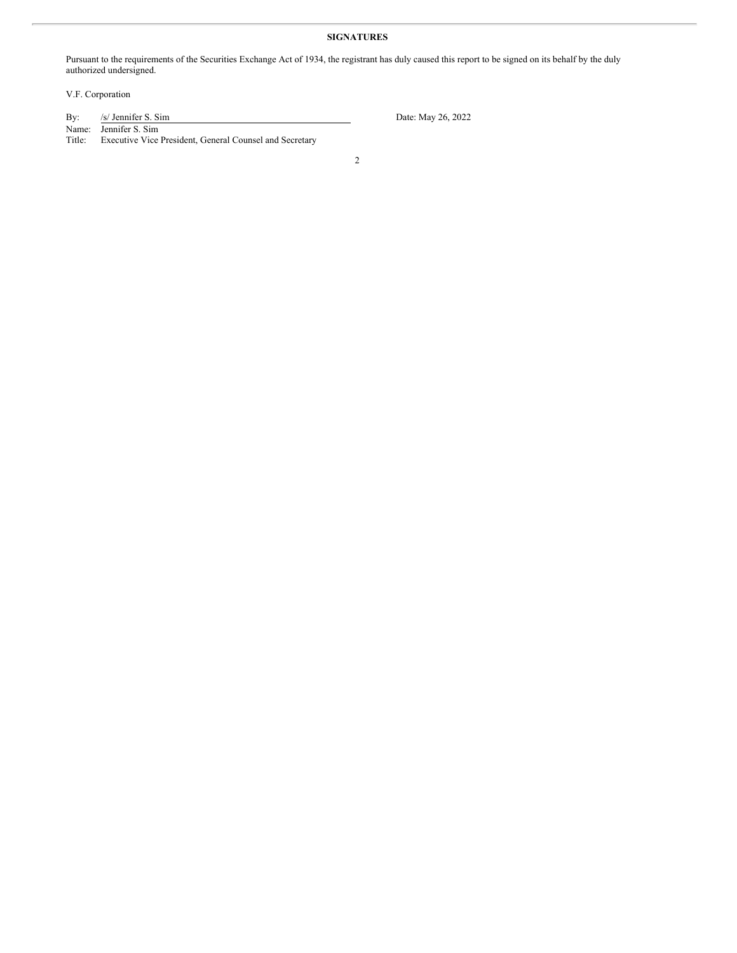# **SIGNATURES**

Pursuant to the requirements of the Securities Exchange Act of 1934, the registrant has duly caused this report to be signed on its behalf by the duly authorized undersigned.

V.F. Corporation

| By:    | /s/ Jennifer S. Sim                                     | Date: May 26, 2022 |
|--------|---------------------------------------------------------|--------------------|
|        | Name: Jennifer S. Sim                                   |                    |
| Title: | Executive Vice President, General Counsel and Secretary |                    |
|        |                                                         |                    |

2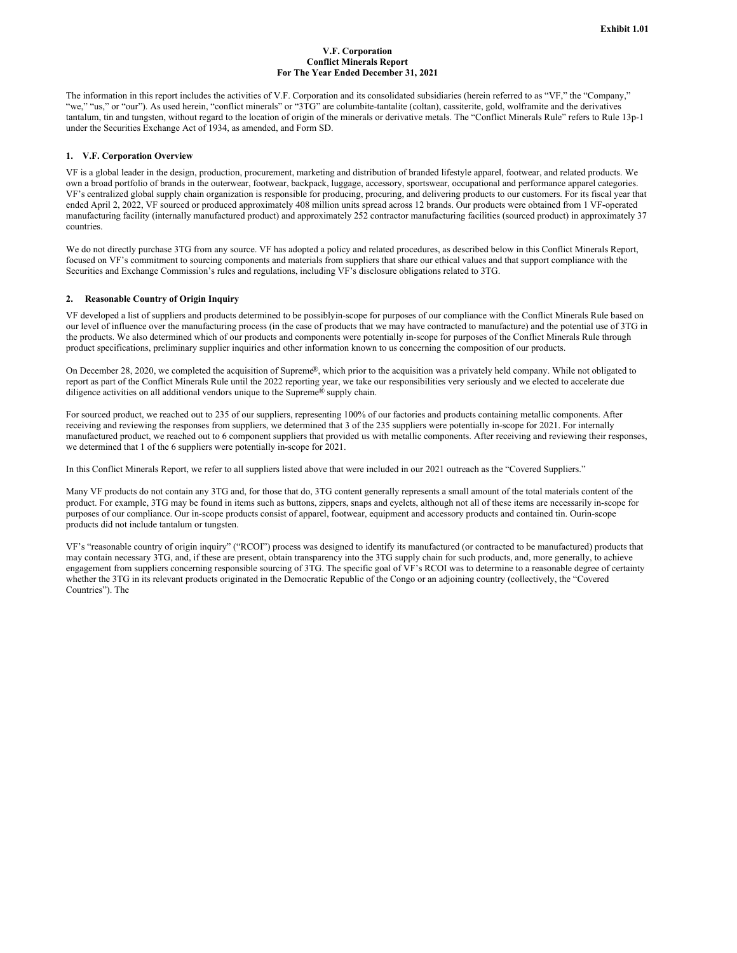#### **V.F. Corporation Conflict Minerals Report For The Year Ended December 31, 2021**

The information in this report includes the activities of V.F. Corporation and its consolidated subsidiaries (herein referred to as "VF," the "Company," "we," "us," or "our"). As used herein, "conflict minerals" or "3TG" are columbite-tantalite (coltan), cassiterite, gold, wolframite and the derivatives tantalum, tin and tungsten, without regard to the location of origin of the minerals or derivative metals. The "Conflict Minerals Rule" refers to Rule 13p-1 under the Securities Exchange Act of 1934, as amended, and Form SD.

#### **1. V.F. Corporation Overview**

VF is a global leader in the design, production, procurement, marketing and distribution of branded lifestyle apparel, footwear, and related products. We own a broad portfolio of brands in the outerwear, footwear, backpack, luggage, accessory, sportswear, occupational and performance apparel categories. VF's centralized global supply chain organization is responsible for producing, procuring, and delivering products to our customers. For its fiscal year that ended April 2, 2022, VF sourced or produced approximately 408 million units spread across 12 brands. Our products were obtained from 1 VF-operated manufacturing facility (internally manufactured product) and approximately 252 contractor manufacturing facilities (sourced product) in approximately 37 countries.

We do not directly purchase 3TG from any source. VF has adopted a policy and related procedures, as described below in this Conflict Minerals Report, focused on VF's commitment to sourcing components and materials from suppliers that share our ethical values and that support compliance with the Securities and Exchange Commission's rules and regulations, including VF's disclosure obligations related to 3TG.

#### **2. Reasonable Country of Origin Inquiry**

VF developed a list of suppliers and products determined to be possiblyin-scope for purposes of our compliance with the Conflict Minerals Rule based on our level of influence over the manufacturing process (in the case of products that we may have contracted to manufacture) and the potential use of 3TG in the products. We also determined which of our products and components were potentially in-scope for purposes of the Conflict Minerals Rule through product specifications, preliminary supplier inquiries and other information known to us concerning the composition of our products.

On December 28, 2020, we completed the acquisition of Supreme®, which prior to the acquisition was a privately held company. While not obligated to report as part of the Conflict Minerals Rule until the 2022 reporting year, we take our responsibilities very seriously and we elected to accelerate due diligence activities on all additional vendors unique to the Supreme® supply chain.

For sourced product, we reached out to 235 of our suppliers, representing 100% of our factories and products containing metallic components. After receiving and reviewing the responses from suppliers, we determined that 3 of the 235 suppliers were potentially in-scope for 2021. For internally manufactured product, we reached out to 6 component suppliers that provided us with metallic components. After receiving and reviewing their responses, we determined that 1 of the 6 suppliers were potentially in-scope for 2021.

In this Conflict Minerals Report, we refer to all suppliers listed above that were included in our 2021 outreach as the "Covered Suppliers."

Many VF products do not contain any 3TG and, for those that do, 3TG content generally represents a small amount of the total materials content of the product. For example, 3TG may be found in items such as buttons, zippers, snaps and eyelets, although not all of these items are necessarily in-scope for purposes of our compliance. Our in-scope products consist of apparel, footwear, equipment and accessory products and contained tin. Ourin-scope products did not include tantalum or tungsten.

VF's "reasonable country of origin inquiry" ("RCOI") process was designed to identify its manufactured (or contracted to be manufactured) products that may contain necessary 3TG, and, if these are present, obtain transparency into the 3TG supply chain for such products, and, more generally, to achieve engagement from suppliers concerning responsible sourcing of 3TG. The specific goal of VF's RCOI was to determine to a reasonable degree of certainty whether the 3TG in its relevant products originated in the Democratic Republic of the Congo or an adjoining country (collectively, the "Covered Countries"). The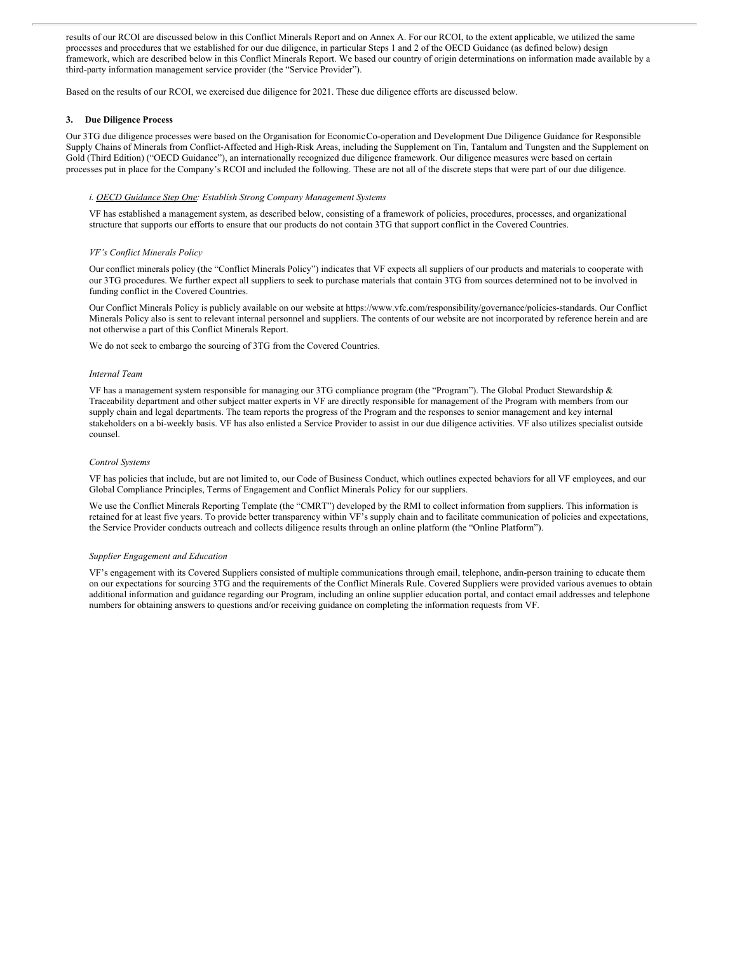results of our RCOI are discussed below in this Conflict Minerals Report and on Annex A. For our RCOI, to the extent applicable, we utilized the same processes and procedures that we established for our due diligence, in particular Steps 1 and 2 of the OECD Guidance (as defined below) design framework, which are described below in this Conflict Minerals Report. We based our country of origin determinations on information made available by a third-party information management service provider (the "Service Provider").

Based on the results of our RCOI, we exercised due diligence for 2021. These due diligence efforts are discussed below.

#### **3. Due Diligence Process**

Our 3TG due diligence processes were based on the Organisation for EconomicCo-operation and Development Due Diligence Guidance for Responsible Supply Chains of Minerals from Conflict-Affected and High-Risk Areas, including the Supplement on Tin, Tantalum and Tungsten and the Supplement on Gold (Third Edition) ("OECD Guidance"), an internationally recognized due diligence framework. Our diligence measures were based on certain processes put in place for the Company's RCOI and included the following. These are not all of the discrete steps that were part of our due diligence.

#### *i. OECD Guidance Step One: Establish Strong Company Management Systems*

VF has established a management system, as described below, consisting of a framework of policies, procedures, processes, and organizational structure that supports our efforts to ensure that our products do not contain 3TG that support conflict in the Covered Countries.

#### *VF's Conflict Minerals Policy*

Our conflict minerals policy (the "Conflict Minerals Policy") indicates that VF expects all suppliers of our products and materials to cooperate with our 3TG procedures. We further expect all suppliers to seek to purchase materials that contain 3TG from sources determined not to be involved in funding conflict in the Covered Countries.

Our Conflict Minerals Policy is publicly available on our website at https://www.vfc.com/responsibility/governance/policies-standards. Our Conflict Minerals Policy also is sent to relevant internal personnel and suppliers. The contents of our website are not incorporated by reference herein and are not otherwise a part of this Conflict Minerals Report.

We do not seek to embargo the sourcing of 3TG from the Covered Countries.

#### *Internal Team*

VF has a management system responsible for managing our 3TG compliance program (the "Program"). The Global Product Stewardship & Traceability department and other subject matter experts in VF are directly responsible for management of the Program with members from our supply chain and legal departments. The team reports the progress of the Program and the responses to senior management and key internal stakeholders on a bi-weekly basis. VF has also enlisted a Service Provider to assist in our due diligence activities. VF also utilizes specialist outside counsel.

#### *Control Systems*

VF has policies that include, but are not limited to, our Code of Business Conduct, which outlines expected behaviors for all VF employees, and our Global Compliance Principles, Terms of Engagement and Conflict Minerals Policy for our suppliers.

We use the Conflict Minerals Reporting Template (the "CMRT") developed by the RMI to collect information from suppliers. This information is retained for at least five years. To provide better transparency within VF's supply chain and to facilitate communication of policies and expectations, the Service Provider conducts outreach and collects diligence results through an online platform (the "Online Platform").

#### *Supplier Engagement and Education*

VF's engagement with its Covered Suppliers consisted of multiple communications through email, telephone, andin-person training to educate them on our expectations for sourcing 3TG and the requirements of the Conflict Minerals Rule. Covered Suppliers were provided various avenues to obtain additional information and guidance regarding our Program, including an online supplier education portal, and contact email addresses and telephone numbers for obtaining answers to questions and/or receiving guidance on completing the information requests from VF.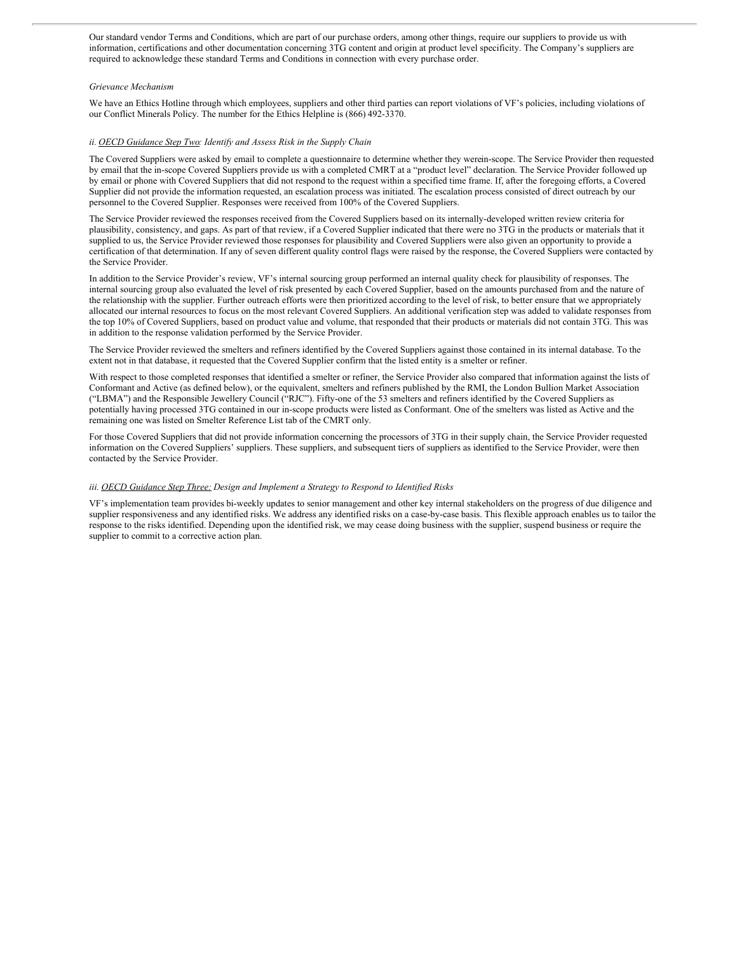Our standard vendor Terms and Conditions, which are part of our purchase orders, among other things, require our suppliers to provide us with information, certifications and other documentation concerning 3TG content and origin at product level specificity. The Company's suppliers are required to acknowledge these standard Terms and Conditions in connection with every purchase order.

#### *Grievance Mechanism*

We have an Ethics Hotline through which employees, suppliers and other third parties can report violations of VF's policies, including violations of our Conflict Minerals Policy. The number for the Ethics Helpline is (866) 492-3370.

#### *ii. OECD Guidance Step Two: Identify and Assess Risk in the Supply Chain*

The Covered Suppliers were asked by email to complete a questionnaire to determine whether they werein-scope. The Service Provider then requested by email that the in-scope Covered Suppliers provide us with a completed CMRT at a "product level" declaration. The Service Provider followed up by email or phone with Covered Suppliers that did not respond to the request within a specified time frame. If, after the foregoing efforts, a Covered Supplier did not provide the information requested, an escalation process was initiated. The escalation process consisted of direct outreach by our personnel to the Covered Supplier. Responses were received from 100% of the Covered Suppliers.

The Service Provider reviewed the responses received from the Covered Suppliers based on its internally-developed written review criteria for plausibility, consistency, and gaps. As part of that review, if a Covered Supplier indicated that there were no 3TG in the products or materials that it supplied to us, the Service Provider reviewed those responses for plausibility and Covered Suppliers were also given an opportunity to provide a certification of that determination. If any of seven different quality control flags were raised by the response, the Covered Suppliers were contacted by the Service Provider.

In addition to the Service Provider's review, VF's internal sourcing group performed an internal quality check for plausibility of responses. The internal sourcing group also evaluated the level of risk presented by each Covered Supplier, based on the amounts purchased from and the nature of the relationship with the supplier. Further outreach efforts were then prioritized according to the level of risk, to better ensure that we appropriately allocated our internal resources to focus on the most relevant Covered Suppliers. An additional verification step was added to validate responses from the top 10% of Covered Suppliers, based on product value and volume, that responded that their products or materials did not contain 3TG. This was in addition to the response validation performed by the Service Provider.

The Service Provider reviewed the smelters and refiners identified by the Covered Suppliers against those contained in its internal database. To the extent not in that database, it requested that the Covered Supplier confirm that the listed entity is a smelter or refiner.

With respect to those completed responses that identified a smelter or refiner, the Service Provider also compared that information against the lists of Conformant and Active (as defined below), or the equivalent, smelters and refiners published by the RMI, the London Bullion Market Association ("LBMA") and the Responsible Jewellery Council ("RJC"). Fifty-one of the 53 smelters and refiners identified by the Covered Suppliers as potentially having processed 3TG contained in our in-scope products were listed as Conformant. One of the smelters was listed as Active and the remaining one was listed on Smelter Reference List tab of the CMRT only.

For those Covered Suppliers that did not provide information concerning the processors of 3TG in their supply chain, the Service Provider requested information on the Covered Suppliers' suppliers. These suppliers, and subsequent tiers of suppliers as identified to the Service Provider, were then contacted by the Service Provider.

## *iii. OECD Guidance Step Three: Design and Implement a Strategy to Respond to Identified Risks*

VF's implementation team provides bi-weekly updates to senior management and other key internal stakeholders on the progress of due diligence and supplier responsiveness and any identified risks. We address any identified risks on a case-by-case basis. This flexible approach enables us to tailor the response to the risks identified. Depending upon the identified risk, we may cease doing business with the supplier, suspend business or require the supplier to commit to a corrective action plan.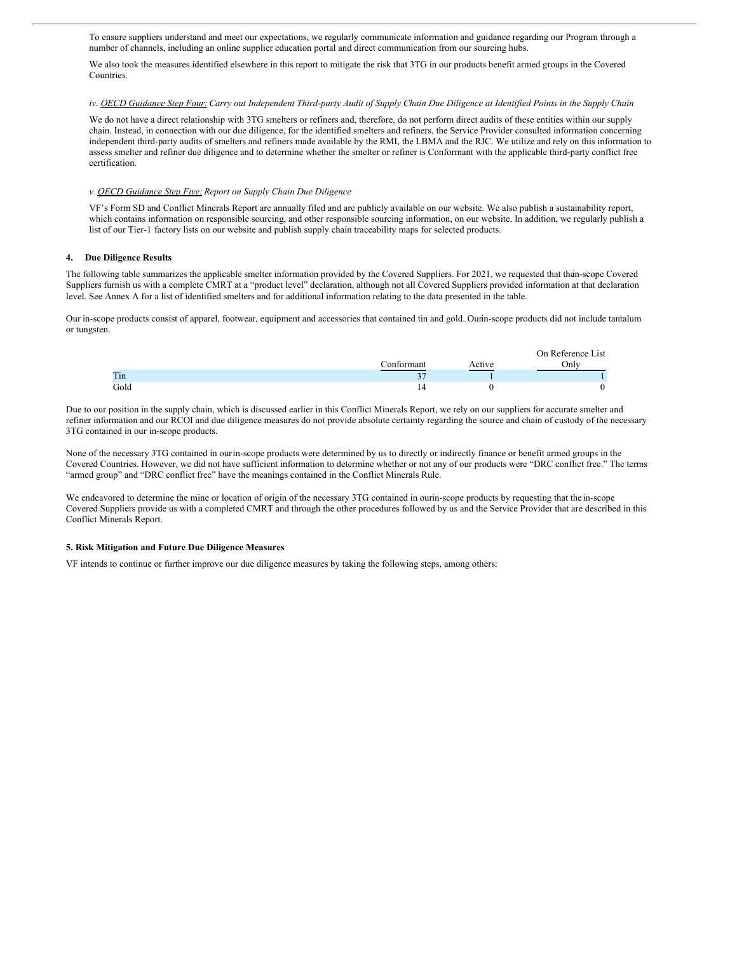<span id="page-6-0"></span>To ensure suppliers understand and meet our expectations, we regularly communicate information and guidance regarding our Program through a number of channels, including an online supplier education portal and direct communication from our sourcing hubs.

We also took the measures identified elsewhere in this report to mitigate the risk that 3TG in our products benefit armed groups in the Covered Countries.

#### iv. OECD Guidance Step Four: Carry out Independent Third-party Audit of Supply Chain Due Diligence at Identified Points in the Supply Chain

We do not have a direct relationship with 3TG smelters or refiners and, therefore, do not perform direct audits of these entities within our supply chain. Instead, in connection with our due diligence, for the identified smelters and refiners, the Service Provider consulted information concerning independent third-party audits of smelters and refiners made available by the RMI, the LBMA and the RJC. We utilize and rely on this information to assess smelter and refiner due diligence and to determine whether the smelter or refiner is Conformant with the applicable third-party conflict free certification.

#### *v. OECD Guidance Step Five:Report on Supply Chain Due Diligence*

VF's Form SD and Conflict Minerals Report are annually filed and are publicly available on our website. We also publish a sustainability report, which contains information on responsible sourcing, and other responsible sourcing information, on our website. In addition, we regularly publish a list of our Tier-1 factory lists on our website and publish supply chain traceability maps for selected products.

#### **4. Due Diligence Results**

The following table summarizes the applicable smelter information provided by the Covered Suppliers. For 2021, we requested that thein-scope Covered Suppliers furnish us with a complete CMRT at a "product level" declaration, although not all Covered Suppliers provided information at that declaration level. See Annex A for a list of identified smelters and for additional information relating to the data presented in the table.

Our in-scope products consist of apparel, footwear, equipment and accessories that contained tin and gold. Ourin-scope products did not include tantalum or tungsten.

|      |             |        | On Reference List |
|------|-------------|--------|-------------------|
|      | Conformant  | Active | Onlv              |
| Tin  | $\sim$<br>◡ |        |                   |
| Gold | 14          |        |                   |

Due to our position in the supply chain, which is discussed earlier in this Conflict Minerals Report, we rely on our suppliers for accurate smelter and refiner information and our RCOI and due diligence measures do not provide absolute certainty regarding the source and chain of custody of the necessary 3TG contained in our in-scope products.

None of the necessary 3TG contained in ourin-scope products were determined by us to directly or indirectly finance or benefit armed groups in the Covered Countries. However, we did not have sufficient information to determine whether or not any of our products were "DRC conflict free." The terms "armed group" and "DRC conflict free" have the meanings contained in the Conflict Minerals Rule.

We endeavored to determine the mine or location of origin of the necessary 3TG contained in ourin-scope products by requesting that the in-scope Covered Suppliers provide us with a completed CMRT and through the other procedures followed by us and the Service Provider that are described in this Conflict Minerals Report.

#### **5. Risk Mitigation and Future Due Diligence Measures**

VF intends to continue or further improve our due diligence measures by taking the following steps, among others: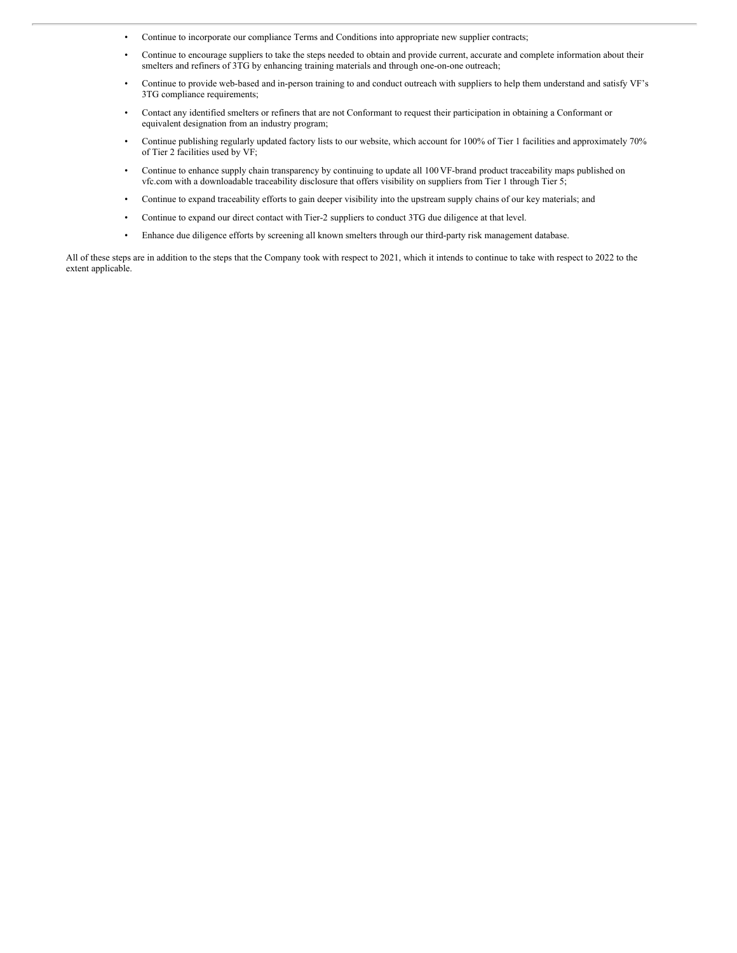- Continue to incorporate our compliance Terms and Conditions into appropriate new supplier contracts;
- Continue to encourage suppliers to take the steps needed to obtain and provide current, accurate and complete information about their smelters and refiners of 3TG by enhancing training materials and through one-on-one outreach;
- Continue to provide web-based and in-person training to and conduct outreach with suppliers to help them understand and satisfy VF's 3TG compliance requirements;
- Contact any identified smelters or refiners that are not Conformant to request their participation in obtaining a Conformant or equivalent designation from an industry program;
- Continue publishing regularly updated factory lists to our website, which account for 100% of Tier 1 facilities and approximately 70% of Tier 2 facilities used by VF;
- Continue to enhance supply chain transparency by continuing to update all 100 VF-brand product traceability maps published on vfc.com with a downloadable traceability disclosure that offers visibility on suppliers from Tier 1 through Tier 5;
- Continue to expand traceability efforts to gain deeper visibility into the upstream supply chains of our key materials; and
- Continue to expand our direct contact with Tier-2 suppliers to conduct 3TG due diligence at that level.
- Enhance due diligence efforts by screening all known smelters through our third-party risk management database.

All of these steps are in addition to the steps that the Company took with respect to 2021, which it intends to continue to take with respect to 2022 to the extent applicable.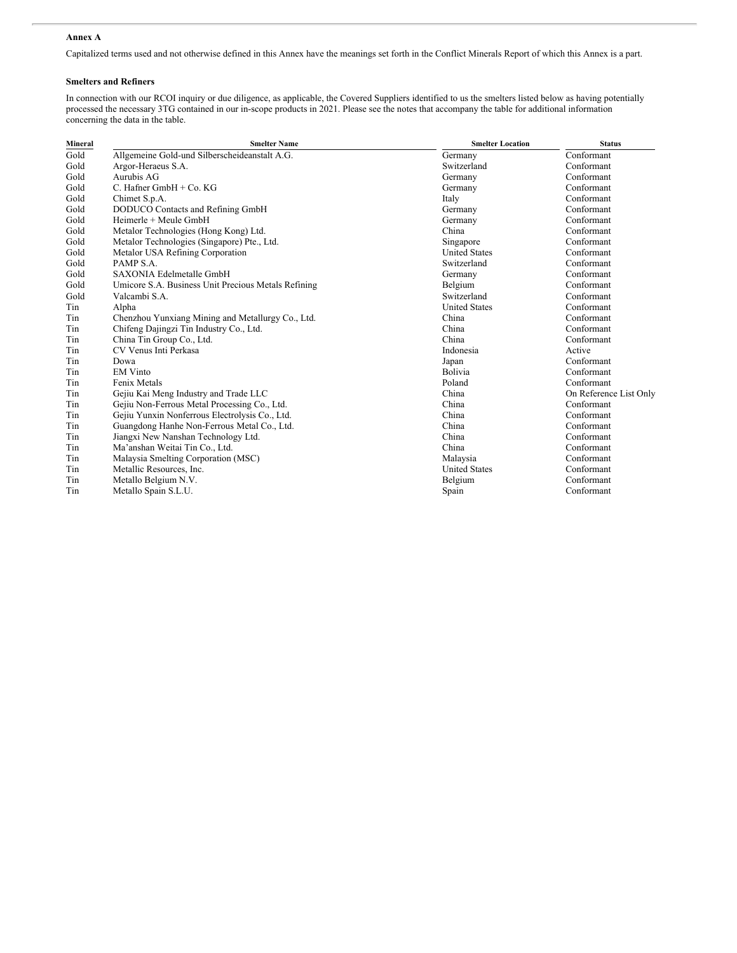# **Annex A**

Capitalized terms used and not otherwise defined in this Annex have the meanings set forth in the Conflict Minerals Report of which this Annex is a part.

#### **Smelters and Refiners**

In connection with our RCOI inquiry or due diligence, as applicable, the Covered Suppliers identified to us the smelters listed below as having potentially processed the necessary 3TG contained in our in-scope products in 2021. Please see the notes that accompany the table for additional information concerning the data in the table.

| Mineral | <b>Smelter Name</b>                                 | <b>Smelter Location</b> | <b>Status</b>          |
|---------|-----------------------------------------------------|-------------------------|------------------------|
| Gold    | Allgemeine Gold-und Silberscheideanstalt A.G.       | Germany                 | Conformant             |
| Gold    | Argor-Heraeus S.A.                                  | Switzerland             | Conformant             |
| Gold    | Aurubis AG                                          | Germany                 | Conformant             |
| Gold    | C. Hafner $GmbH + Co. KG$                           | Germany                 | Conformant             |
| Gold    | Chimet S.p.A.                                       | Italy                   | Conformant             |
| Gold    | DODUCO Contacts and Refining GmbH                   | Germany                 | Conformant             |
| Gold    | Heimerle + Meule GmbH                               | Germany                 | Conformant             |
| Gold    | Metalor Technologies (Hong Kong) Ltd.               | China                   | Conformant             |
| Gold    | Metalor Technologies (Singapore) Pte., Ltd.         | Singapore               | Conformant             |
| Gold    | Metalor USA Refining Corporation                    | <b>United States</b>    | Conformant             |
| Gold    | PAMP <sub>S.A.</sub>                                | Switzerland             | Conformant             |
| Gold    | SAXONIA Edelmetalle GmbH                            | Germany                 | Conformant             |
| Gold    | Umicore S.A. Business Unit Precious Metals Refining | Belgium                 | Conformant             |
| Gold    | Valcambi S.A.                                       | Switzerland             | Conformant             |
| Tin     | Alpha                                               | <b>United States</b>    | Conformant             |
| Tin     | Chenzhou Yunxiang Mining and Metallurgy Co., Ltd.   | China                   | Conformant             |
| Tin     | Chifeng Dajingzi Tin Industry Co., Ltd.             | China                   | Conformant             |
| Tin     | China Tin Group Co., Ltd.                           | China                   | Conformant             |
| Tin     | CV Venus Inti Perkasa                               | Indonesia               | Active                 |
| Tin     | Dowa                                                | Japan                   | Conformant             |
| Tin     | <b>EM Vinto</b>                                     | Bolivia                 | Conformant             |
| Tin     | Fenix Metals                                        | Poland                  | Conformant             |
| Tin     | Gejiu Kai Meng Industry and Trade LLC               | China                   | On Reference List Only |
| Tin     | Gejiu Non-Ferrous Metal Processing Co., Ltd.        | China                   | Conformant             |
| Tin     | Gejiu Yunxin Nonferrous Electrolysis Co., Ltd.      | China                   | Conformant             |
| Tin     | Guangdong Hanhe Non-Ferrous Metal Co., Ltd.         | China                   | Conformant             |
| Tin     | Jiangxi New Nanshan Technology Ltd.                 | China                   | Conformant             |
| Tin     | Ma'anshan Weitai Tin Co., Ltd.                      | China                   | Conformant             |
| Tin     | Malaysia Smelting Corporation (MSC)                 | Malaysia                | Conformant             |
| Tin     | Metallic Resources, Inc.                            | <b>United States</b>    | Conformant             |
| Tin     | Metallo Belgium N.V.                                | Belgium                 | Conformant             |
| Tin     | Metallo Spain S.L.U.                                | Spain                   | Conformant             |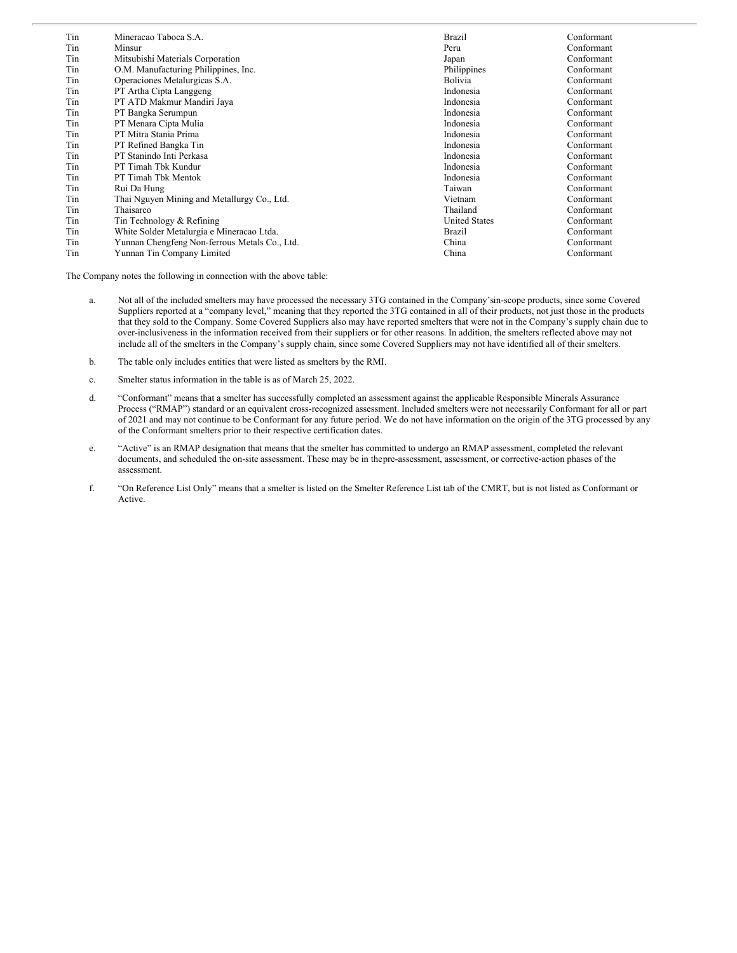| Tin<br>Tin | Mineracao Taboca S.A.<br>Minsur               | Brazil<br>Peru       | Conformant<br>Conformant |
|------------|-----------------------------------------------|----------------------|--------------------------|
| Tin        | Mitsubishi Materials Corporation              | Japan                | Conformant               |
| Tin        | O.M. Manufacturing Philippines, Inc.          | Philippines          | Conformant               |
| Tin        | Operaciones Metalurgicas S.A.                 | <b>Bolivia</b>       | Conformant               |
| Tin        | PT Artha Cipta Langgeng                       | Indonesia            | Conformant               |
| Tin        | PT ATD Makmur Mandiri Jaya                    | Indonesia            | Conformant               |
| Tin        | PT Bangka Serumpun                            | Indonesia            | Conformant               |
| Tin        | PT Menara Cipta Mulia                         | Indonesia            | Conformant               |
| Tin        | PT Mitra Stania Prima                         | Indonesia            | Conformant               |
| Tin        | PT Refined Bangka Tin                         | Indonesia            | Conformant               |
| Tin        | PT Stanindo Inti Perkasa                      | Indonesia            | Conformant               |
| Tin        | PT Timah Tbk Kundur                           | Indonesia            | Conformant               |
| Tin        | PT Timah Tbk Mentok                           | Indonesia            | Conformant               |
| Tin        | Rui Da Hung                                   | Taiwan               | Conformant               |
| Tin        | Thai Nguyen Mining and Metallurgy Co., Ltd.   | Vietnam              | Conformant               |
| Tin        | Thaisarco                                     | Thailand             | Conformant               |
| Tin        | Tin Technology & Refining                     | <b>United States</b> | Conformant               |
| Tin        | White Solder Metalurgia e Mineracao Ltda.     | Brazil               | Conformant               |
| Tin        | Yunnan Chengfeng Non-ferrous Metals Co., Ltd. | China                | Conformant               |
| Tin        | Yunnan Tin Company Limited                    | China                | Conformant               |

The Company notes the following in connection with the above table:

- a. Not all of the included smelters may have processed the necessary 3TG contained in the Company'sin-scope products, since some Covered Suppliers reported at a "company level," meaning that they reported the 3TG contained in all of their products, not just those in the products that they sold to the Company. Some Covered Suppliers also may have reported smelters that were not in the Company's supply chain due to over-inclusiveness in the information received from their suppliers or for other reasons. In addition, the smelters reflected above may not include all of the smelters in the Company's supply chain, since some Covered Suppliers may not have identified all of their smelters.
- b. The table only includes entities that were listed as smelters by the RMI.
- c. Smelter status information in the table is as of March 25, 2022.
- d. "Conformant" means that a smelter has successfully completed an assessment against the applicable Responsible Minerals Assurance Process ("RMAP") standard or an equivalent cross-recognized assessment. Included smelters were not necessarily Conformant for all or part of 2021 and may not continue to be Conformant for any future period. We do not have information on the origin of the 3TG processed by any of the Conformant smelters prior to their respective certification dates.
- e. "Active" is an RMAP designation that means that the smelter has committed to undergo an RMAP assessment, completed the relevant documents, and scheduled the on-site assessment. These may be in thepre-assessment, assessment, or corrective-action phases of the assessment.
- f. "On Reference List Only" means that a smelter is listed on the Smelter Reference List tab of the CMRT, but is not listed as Conformant or Active.